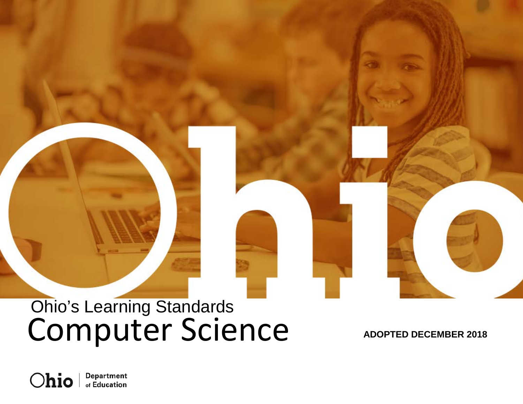# Computer Science Ohio's Learning Standards

**ADOPTED DECEMBER 2018**

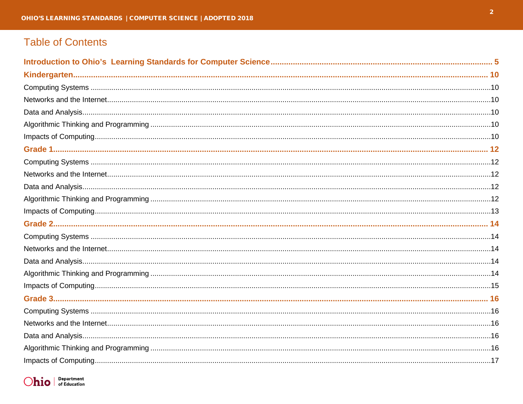# **Table of Contents**

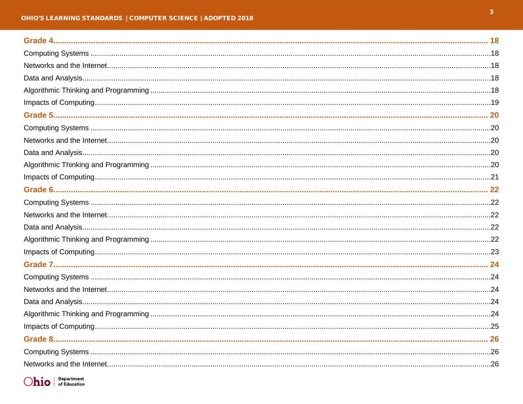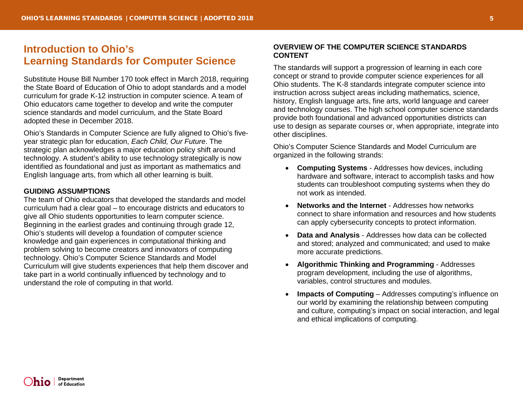# <span id="page-4-0"></span>**Introduction to Ohio's Learning Standards for Computer Science**

Substitute House Bill Number 170 took effect in March 2018, requiring the State Board of Education of Ohio to adopt standards and a model curriculum for grade K-12 instruction in computer science. A team of Ohio educators came together to develop and write the computer science standards and model curriculum, and the State Board adopted these in December 2018.

Ohio's Standards in Computer Science are fully aligned to Ohio's fiveyear strategic plan for education, *Each Child, Our Future*. The strategic plan acknowledges a major education policy shift around technology. A student's ability to use technology strategically is now identified as foundational and just as important as mathematics and English language arts, from which all other learning is built.

# **GUIDING ASSUMPTIONS**

The team of Ohio educators that developed the standards and model curriculum had a clear goal – to encourage districts and educators to give all Ohio students opportunities to learn computer science. Beginning in the earliest grades and continuing through grade 12, Ohio's students will develop a foundation of computer science knowledge and gain experiences in computational thinking and problem solving to become creators and innovators of computing technology. Ohio's Computer Science Standards and Model Curriculum will give students experiences that help them discover and take part in a world continually influenced by technology and to understand the role of computing in that world.

# **OVERVIEW OF THE COMPUTER SCIENCE STANDARDS CONTENT**

The standards will support a progression of learning in each core concept or strand to provide computer science experiences for all Ohio students. The K-8 standards integrate computer science into instruction across subject areas including mathematics, science, history, English language arts, fine arts, world language and career and technology courses. The high school computer science standards provide both foundational and advanced opportunities districts can use to design as separate courses or, when appropriate, integrate into other disciplines.

Ohio's Computer Science Standards and Model Curriculum are organized in the following strands:

- **Computing Systems**  Addresses how devices, including hardware and software, interact to accomplish tasks and how students can troubleshoot computing systems when they do not work as intended.
- **Networks and the Internet** Addresses how networks connect to share information and resources and how students can apply cybersecurity concepts to protect information.
- **Data and Analysis** Addresses how data can be collected and stored; analyzed and communicated; and used to make more accurate predictions.
- **Algorithmic Thinking and Programming** Addresses program development, including the use of algorithms, variables, control structures and modules.
- **Impacts of Computing** Addresses computing's influence on our world by examining the relationship between computing and culture, computing's impact on social interaction, and legal and ethical implications of computing.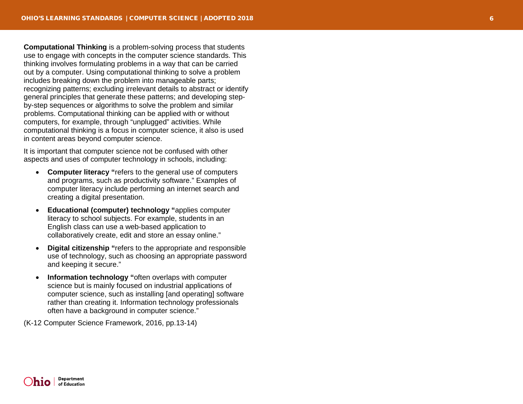**Computational Thinking** is a problem -solving process that students use to engage with concepts in the computer science standards. This thinking involves formulating problems in a way that can be carried out by a computer. Using computational thinking to solve a problem includes breaking down the problem into manageable parts; recognizing patterns; excluding irrelevant details to abstract or identify general principles that generate these patterns; and developing step by -step sequences or algorithms to solve the problem and similar problems. Computational thinking can be applied with or without computers, for example, through "unplugged" activities. While computational thinking is a focus in computer science, it also is used in content areas beyond computer science.

It is important that c omputer science not be confused with other aspects and uses of computer technology in schools, including:

- **Computer literacy "**refers to the general use of computers and programs, such as productivity software." Examples of computer literacy include performing an internet search and creating a digital presentation.
- **Educational (computer) technology "**applies computer literacy to school subjects. For example, students in an English class can use a web -based application to collaboratively create, edit and store an essay online."
- **Digital citizenship "**refers to the appropriate and responsible use of technology, such as choosing an appropriate password and keeping it secure."
- **Information technology "**often overlaps with computer science but is mainly focused on industrial applications of computer science, such as installing [and operating ] software rather than creating it. Information technology professionals often have a background in computer science. "

(K -12 Computer Science Framework, 2016, pp.13 -14)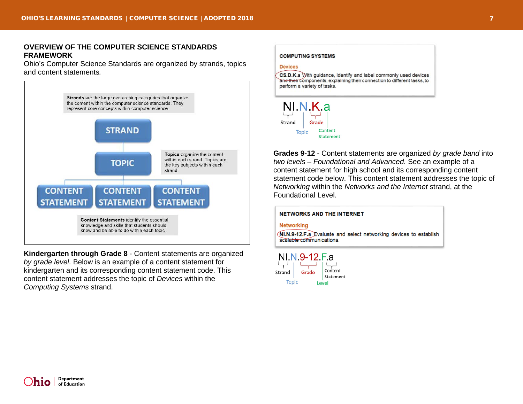## **OVERVIEW OF THE COMPUTER SCIENCE STANDARDS FRAMEWORK**

Ohio's Computer Science Standards are organized by strands, topics and content statements*.*



**Kindergarten through Grade 8** - Content statements are organized *by grade level*. Below is an example of a content statement for kindergarten and its corresponding content statement code. This content statement addresses the topic of *Devices* within the *Computing Systems* strand.

**COMPUTING SYSTEMS Devices** CS.D.K.a With guidance, identify and label commonly used devices and their components, explaining their connection to different tasks, to perform a variety of tasks.



**Grades 9-12** - Content statements are organized *by grade band* into *two levels – Foundational and Advanced*. See an example of a content statement for high school and its corresponding content statement code below. This content statement addresses the topic of *Networking* within the *Networks and the Internet* strand, at the Foundational Level.

#### **NETWORKS AND THE INTERNET**

#### **Networking**

NI.N.9-12.F.a Evaluate and select networking devices to establish scalable communications.

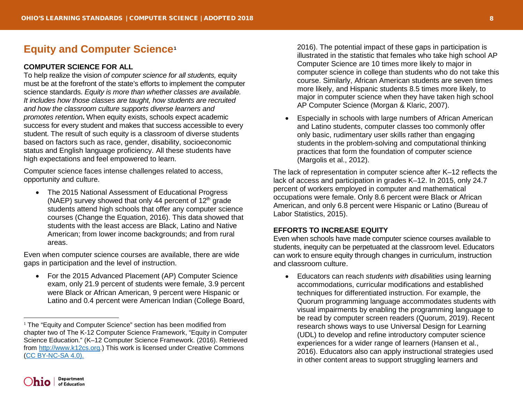# **Equity and Computer Science[1](#page-7-0)**

# **COMPUTER SCIENCE FOR ALL**

To help realize the vision *of computer science for all students,* equity must be at the forefront of the state's efforts to implement the computer science standards. *Equity is more than whether classes are available. It includes how those classes are taught, how students are recruited and how the classroom culture supports diverse learners and promotes retention***.** When equity exists, schools expect academic success for every student and makes that success accessible to every student. The result of such equity is a classroom of diverse students based on factors such as race, gender, disability, socioeconomic status and English language proficiency. All these students have high expectations and feel empowered to learn.

Computer science faces intense challenges related to access, opportunity and culture.

• The 2015 National Assessment of Educational Progress (NAEP) survey showed that only 44 percent of  $12<sup>th</sup>$  grade students attend high schools that offer any computer science courses (Change the Equation, 2016). This data showed that students with the least access are Black, Latino and Native American; from lower income backgrounds; and from rural areas.

Even when computer science courses are available, there are wide gaps in participation and the level of instruction.

• For the 2015 Advanced Placement (AP) Computer Science exam, only 21.9 percent of students were female, 3.9 percent were Black or African American, 9 percent were Hispanic or Latino and 0.4 percent were American Indian (College Board, <span id="page-7-0"></span>2016). The potential impact of these gaps in participation is illustrated in the statistic that females who take high school AP Computer Science are 10 times more likely to major in computer science in college than students who do not take this course. Similarly, African American students are seven times more likely, and Hispanic students 8.5 times more likely, to major in computer science when they have taken high school AP Computer Science (Morgan & Klaric, 2007).

• Especially in schools with large numbers of African American and Latino students, computer classes too commonly offer only basic, rudimentary user skills rather than engaging students in the problem-solving and computational thinking practices that form the foundation of computer science (Margolis et al., 2012).

The lack of representation in computer science after K–12 reflects the lack of access and participation in grades K–12. In 2015, only 24.7 percent of workers employed in computer and mathematical occupations were female. Only 8.6 percent were Black or African American, and only 6.8 percent were Hispanic or Latino (Bureau of Labor Statistics, 2015).

# **EFFORTS TO INCREASE EQUITY**

Even when schools have made computer science courses available to students, inequity can be perpetuated at the classroom level. Educators can work to ensure equity through changes in curriculum, instruction and classroom culture.

• Educators can reach *students with disabilities* using learning accommodations, curricular modifications and established techniques for differentiated instruction. For example, the Quorum programming language accommodates students with visual impairments by enabling the programming language to be read by computer screen readers (Quorum, 2019). Recent research shows ways to use Universal Design for Learning (UDL) to develop and refine introductory computer science experiences for a wider range of learners (Hansen et al., 2016). Educators also can apply instructional strategies used in other content areas to support struggling learners and



 $\ddot{\phantom{a}}$ 

<sup>&</sup>lt;sup>1</sup> The "Equity and Computer Science" section has been modified from chapter two of The K-12 Computer Science Framework, "Equity in Computer Science Education." (K–12 Computer Science Framework. (2016). Retrieved from [http://www.k12cs.org.](http://www.k12cs.org/)) This work is licensed under Creative Commons [\(CC BY-NC-SA 4.0\)](https://creativecommons.org/licenses/by-nc-sa/4.0/).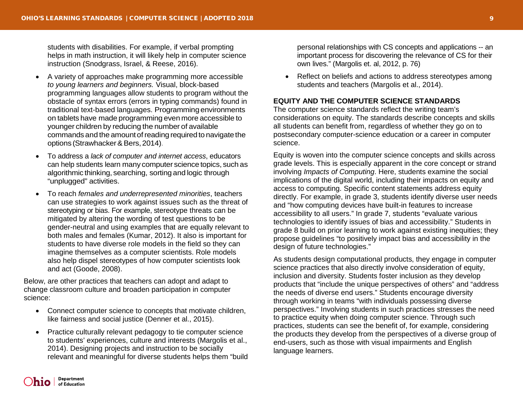students with disabilities. For example, if verbal prompting helps in math instruction, it will likely help in computer science instruction (Snodgrass, Israel, & Reese, 2016).

- A variety of approaches make programming more accessible *to young learners and beginners.* Visual, block-based programming languages allow students to program without the obstacle of syntax errors (errors in typing commands) found in traditional text-based languages. Programming environments on tablets have made programming even more accessible to younger children by reducing the number of available commands and the amount of reading required to navigate the options (Strawhacker&Bers,2014).
- To address a *lack of computer and internet access*, educators can help students learn many computer science topics, such as algorithmic thinking, searching, sorting and logic through "unplugged" activities.
- To reach *females and underrepresented minorities*, teachers can use strategies to work against issues such as the threat of stereotyping or bias. For example, stereotype threats can be mitigated by altering the wording of test questions to be gender-neutral and using examples that are equally relevant to both males and females (Kumar, 2012). It also is important for students to have diverse role models in the field so they can imagine themselves as a computer scientists. Role models also help dispel stereotypes of how computer scientists look and act (Goode, 2008).

Below, are other practices that teachers can adopt and adapt to change classroom culture and broaden participation in computer science:

- Connect computer science to concepts that motivate children, like fairness and social justice (Denner et al., 2015).
- Practice culturally relevant pedagogy to tie computer science to students' experiences, culture and interests (Margolis et al., 2014). Designing projects and instruction to be socially relevant and meaningful for diverse students helps them "build

personal relationships with CS concepts and applications -- an important process for discovering the relevance of CS for their own lives." (Margolis et. al, 2012, p. 76)

Reflect on beliefs and actions to address stereotypes among students and teachers (Margolis et al., 2014).

# **EQUITY AND THE COMPUTER SCIENCE STANDARDS**

The computer science standards reflect the writing team's considerations on equity. The standards describe concepts and skills all students can benefit from, regardless of whether they go on to postsecondary computer-science education or a career in computer science.

Equity is woven into the computer science concepts and skills across grade levels. This is especially apparent in the core concept or strand involving *Impacts of Computing*. Here, students examine the social implications of the digital world, including their impacts on equity and access to computing. Specific content statements address equity directly. For example, in grade 3, students identify diverse user needs and "how computing devices have built-in features to increase accessibility to all users." In grade 7, students "evaluate various technologies to identify issues of bias and accessibility." Students in grade 8 build on prior learning to work against existing inequities; they propose guidelines "to positively impact bias and accessibility in the design of future technologies."

As students design computational products, they engage in computer science practices that also directly involve consideration of equity, inclusion and diversity. Students foster inclusion as they develop products that "include the unique perspectives of others" and "address the needs of diverse end users." Students encourage diversity through working in teams "with individuals possessing diverse perspectives." Involving students in such practices stresses the need to practice equity when doing computer science. Through such practices, students can see the benefit of, for example, considering the products they develop from the perspectives of a diverse group of end-users, such as those with visual impairments and English language learners.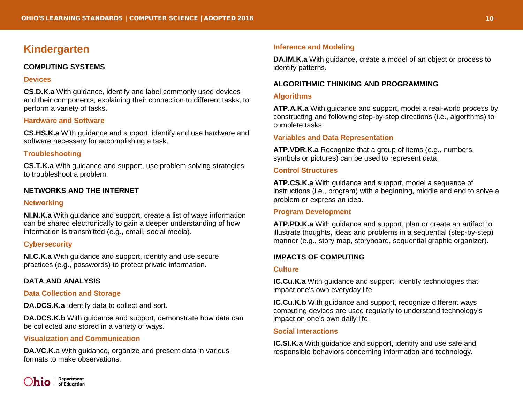# <span id="page-9-0"></span>**Kindergarten**

# <span id="page-9-1"></span>**COMPUTING SYSTEMS**

#### **Devices**

**CS.D.K.a** With guidance, identify and label commonly used devices and their components, explaining their connection to different tasks, to perform a variety of tasks.

# **Hardware and Software**

**CS.HS.K.a** With guidance and support, identify and use hardware and software necessary for accomplishing a task.

#### **Troubleshooting**

**CS.T.K.a** With guidance and support, use problem solving strategies to troubleshoot a problem.

# <span id="page-9-2"></span>**NETWORKS AND THE INTERNET**

#### **Networking**

**NI.N.K.a** With guidance and support, create a list of ways information can be shared electronically to gain a deeper understanding of how information is transmitted (e.g., email, social media).

# **Cybersecurity**

**NI.C.K.a** With guidance and support, identify and use secure practices (e.g., passwords) to protect private information.

#### <span id="page-9-3"></span>**DATA AND ANALYSIS**

# **Data Collection and Storage**

**DA.DCS.K.a** Identify data to collect and sort.

**DA.DCS.K.b** With guidance and support, demonstrate how data can be collected and stored in a variety of ways.

## **Visualization and Communication**

**DA.VC.K.**a With guidance, organize and present data in various formats to make observations.

# **Inference and Modeling**

**DA.IM.K.a** With guidance, create a model of an object or process to identify patterns.

## <span id="page-9-4"></span>**ALGORITHMIC THINKING AND PROGRAMMING**

#### **Algorithms**

**ATP.A.K.a** With guidance and support, model a real-world process by constructing and following step-by-step directions (i.e., algorithms) to complete tasks.

#### **Variables and Data Representation**

**ATP.VDR.K.a** Recognize that a group of items (e.g., numbers, symbols or pictures) can be used to represent data.

## **Control Structures**

**ATP.CS.K.a** With guidance and support, model a sequence of instructions (i.e., program) with a beginning, middle and end to solve a problem or express an idea.

# **Program Development**

**ATP.PD.K.a** With guidance and support, plan or create an artifact to illustrate thoughts, ideas and problems in a sequential (step-by-step) manner (e.g., story map, storyboard, sequential graphic organizer).

#### <span id="page-9-5"></span>**IMPACTS OF COMPUTING**

#### **Culture**

**IC.Cu.K.a** With guidance and support, identify technologies that impact one's own everyday life.

**IC.Cu.K.b** With guidance and support, recognize different ways computing devices are used regularly to understand technology's impact on one's own daily life.

#### **Social Interactions**

**IC.SI.K.a** With guidance and support, identify and use safe and responsible behaviors concerning information and technology.

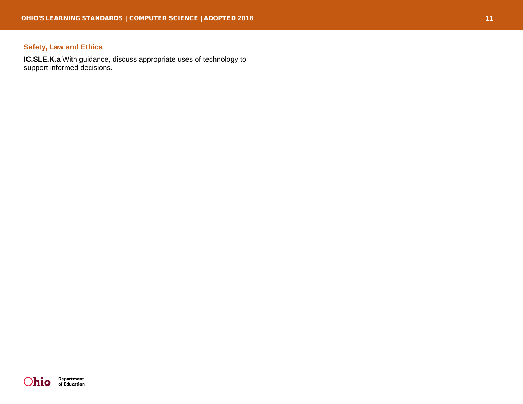# **Safety, Law and Ethics**

**IC.SLE.K.a** With guidance, discuss appropriate uses of technology to support informed decisions.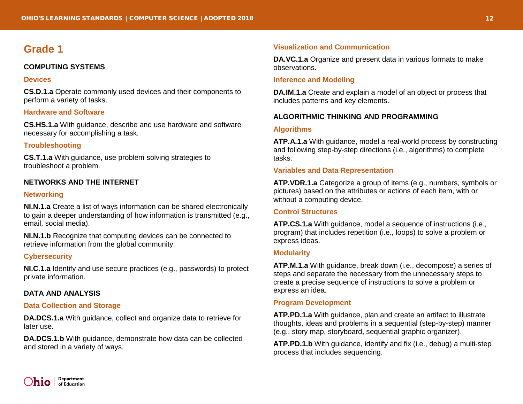# <span id="page-11-1"></span><span id="page-11-0"></span>**COMPUTING SYSTEMS**

#### **Devices**

**CS.D.1.a** Operate commonly used devices and their components to perform a variety of tasks.

# **Hardware and Software**

**CS.HS.1.a** With guidance, describe and use hardware and software necessary for accomplishing a task.

# **Troubleshooting**

**CS.T.1.a** With guidance, use problem solving strategies to troubleshoot a problem.

# <span id="page-11-2"></span>**NETWORKS AND THE INTERNET**

## **Networking**

**NI.N.1.a** Create a list of ways information can be shared electronically to gain a deeper understanding of how information is transmitted (e.g., email, social media).

**NI.N.1.b** Recognize that computing devices can be connected to retrieve information from the global community.

#### **Cybersecurity**

**NI.C.1.a** Identify and use secure practices (e.g., passwords) to protect private information.

#### <span id="page-11-3"></span>**DATA AND ANALYSIS**

#### **Data Collection and Storage**

**DA.DCS.1.a** With guidance, collect and organize data to retrieve for later use.

**DA.DCS.1.b** With guidance, demonstrate how data can be collected and stored in a variety of ways.

## **Visualization and Communication**

**DA.VC.1.a** Organize and present data in various formats to make observations.

#### **Inference and Modeling**

**DA.IM.1.a** Create and explain a model of an object or process that includes patterns and key elements.

# <span id="page-11-4"></span>**ALGORITHMIC THINKING AND PROGRAMMING**

#### **Algorithms**

**ATP.A.1.a** With guidance, model a real-world process by constructing and following step-by-step directions (i.e., algorithms) to complete tasks.

# **Variables and Data Representation**

**ATP.VDR.1.a** Categorize a group of items (e.g., numbers, symbols or pictures) based on the attributes or actions of each item, with or without a computing device.

#### **Control Structures**

**ATP.CS.1.a** With guidance, model a sequence of instructions (i.e., program) that includes repetition (i.e., loops) to solve a problem or express ideas.

#### **Modularity**

**ATP.M.1.a** With guidance, break down (i.e., decompose) a series of steps and separate the necessary from the unnecessary steps to create a precise sequence of instructions to solve a problem or express an idea.

### **Program Development**

**ATP.PD.1.a** With guidance, plan and create an artifact to illustrate thoughts, ideas and problems in a sequential (step-by-step) manner (e.g., story map, storyboard, sequential graphic organizer).

**ATP.PD.1.b** With guidance, identify and fix (i.e., debug) a multi-step process that includes sequencing.

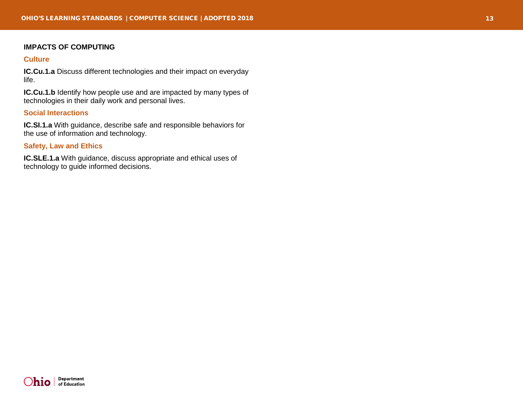# <span id="page-12-0"></span>**IMPACTS OF COMPUTING**

#### **Culture**

**IC.Cu.1.a** Discuss different technologies and their impact on everyday life.

**IC.Cu.1.b** Identify how people use and are impacted by many types of technologies in their daily work and personal lives.

# **Social Interactions**

**IC.SI.1.a** With guidance, describe safe and responsible behaviors for the use of information and technology.

# **Safety, Law and Ethics**

**IC.SLE.1.a** With guidance, discuss appropriate and ethical uses of technology to guide informed decisions.

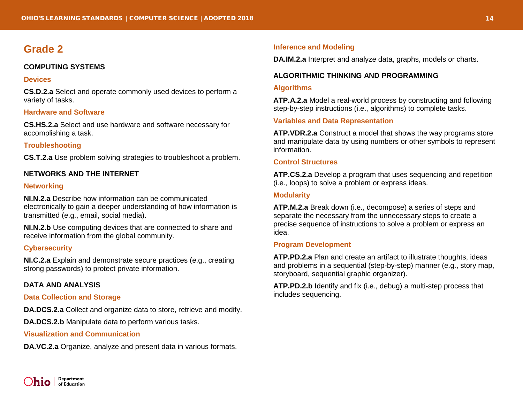# <span id="page-13-1"></span><span id="page-13-0"></span>**COMPUTING SYSTEMS**

#### **Devices**

**CS.D.2.a** Select and operate commonly used devices to perform a variety of tasks.

# **Hardware and Software**

**CS.HS.2.a** Select and use hardware and software necessary for accomplishing a task.

# **Troubleshooting**

**CS.T.2.a** Use problem solving strategies to troubleshoot a problem.

# <span id="page-13-2"></span>**NETWORKS AND THE INTERNET**

#### **Networking**

**NI.N.2.a** Describe how information can be communicated electronically to gain a deeper understanding of how information is transmitted (e.g., email, social media).

**NI.N.2.b** Use computing devices that are connected to share and receive information from the global community.

# **Cybersecurity**

**NI.C.2.a** Explain and demonstrate secure practices (e.g., creating strong passwords) to protect private information.

# <span id="page-13-3"></span>**DATA AND ANALYSIS**

#### **Data Collection and Storage**

**DA.DCS.2.a** Collect and organize data to store, retrieve and modify.

**DA.DCS.2.b** Manipulate data to perform various tasks.

#### **Visualization and Communication**

**DA.VC.2.a** Organize, analyze and present data in various formats.

#### **Inference and Modeling**

**DA.IM.2.a** Interpret and analyze data, graphs, models or charts.

# <span id="page-13-4"></span>**ALGORITHMIC THINKING AND PROGRAMMING**

#### **Algorithms**

**ATP.A.2.a** Model a real-world process by constructing and following step-by-step instructions (i.e., algorithms) to complete tasks.

## **Variables and Data Representation**

**ATP.VDR.2.a** Construct a model that shows the way programs store and manipulate data by using numbers or other symbols to represent information.

#### **Control Structures**

**ATP.CS.2.a** Develop a program that uses sequencing and repetition (i.e., loops) to solve a problem or express ideas.

#### **Modularity**

**ATP.M.2.a** Break down (i.e., decompose) a series of steps and separate the necessary from the unnecessary steps to create a precise sequence of instructions to solve a problem or express an idea.

#### **Program Development**

**ATP.PD.2.a** Plan and create an artifact to illustrate thoughts, ideas and problems in a sequential (step-by-step) manner (e.g., story map, storyboard, sequential graphic organizer).

**ATP.PD.2.b** Identify and fix (i.e., debug) a multi-step process that includes sequencing.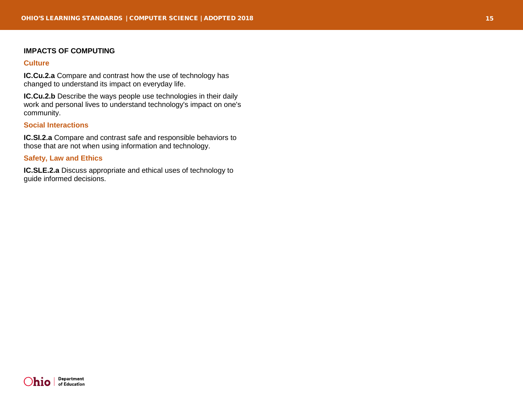#### <span id="page-14-0"></span>**IMPACTS OF COMPUTING**

#### **Culture**

**IC.Cu.2.a** Compare and contrast how the use of technology has changed to understand its impact on everyday life.

**IC.Cu.2.b** Describe the ways people use technologies in their daily work and personal lives to understand technology's impact on one's community.

# **Social Interactions**

**IC.SI.2.a** Compare and contrast safe and responsible behaviors to those that are not when using information and technology.

# **Safety, Law and Ethics**

**IC.SLE.2.a** Discuss appropriate and ethical uses of technology to guide informed decisions.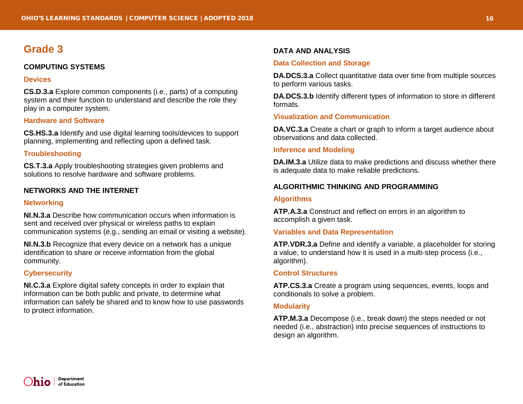# <span id="page-15-1"></span><span id="page-15-0"></span>**COMPUTING SYSTEMS**

#### **Devices**

**CS.D.3.a** Explore common components (i.e., parts) of a computing system and their function to understand and describe the role they play in a computer system.

# **Hardware and Software**

**CS.HS.3.a** Identify and use digital learning tools/devices to support planning, implementing and reflecting upon a defined task.

# **Troubleshooting**

**CS.T.3.a** Apply troubleshooting strategies given problems and solutions to resolve hardware and software problems.

# <span id="page-15-2"></span>**NETWORKS AND THE INTERNET**

#### **Networking**

**NI.N.3.a** Describe how communication occurs when information is sent and received over physical or wireless paths to explain communication systems (e.g., sending an email or visiting a website).

**NI.N.3.b** Recognize that every device on a network has a unique identification to share or receive information from the global community.

# **Cybersecurity**

**NI.C.3.a** Explore digital safety concepts in order to explain that information can be both public and private, to determine what information can safely be shared and to know how to use passwords to protect information.

# <span id="page-15-3"></span>**DATA AND ANALYSIS**

#### **Data Collection and Storage**

**DA.DCS.3.a** Collect quantitative data over time from multiple sources to perform various tasks.

**DA.DCS.3.b** Identify different types of information to store in different formats.

## **Visualization and Communication**

**DA.VC.3.a** Create a chart or graph to inform a target audience about observations and data collected.

## **Inference and Modeling**

**DA.IM.3.a** Utilize data to make predictions and discuss whether there is adequate data to make reliable predictions.

# <span id="page-15-4"></span>**ALGORITHMIC THINKING AND PROGRAMMING**

#### **Algorithms**

**ATP.A.3.a** Construct and reflect on errors in an algorithm to accomplish a given task.

#### **Variables and Data Representation**

**ATP.VDR.3.a** Define and identify a variable, a placeholder for storing a value, to understand how it is used in a multi-step process (i.e., algorithm).

#### **Control Structures**

**ATP.CS.3.a** Create a program using sequences, events, loops and conditionals to solve a problem.

#### **Modularity**

**ATP.M.3.a** Decompose (i.e., break down) the steps needed or not needed (i.e., abstraction) into precise sequences of instructions to design an algorithm.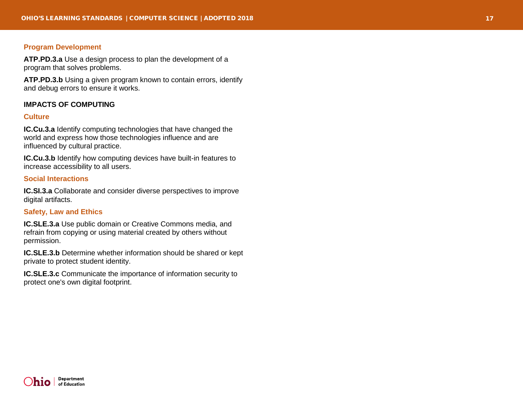# **Program Development**

**ATP.PD.3.a** Use a design process to plan the development of a program that solves problems.

**ATP.PD.3.b** Using a given program known to contain errors, identify and debug errors to ensure it works.

#### <span id="page-16-0"></span>**IMPACTS OF COMPUTING**

## **Culture**

**IC.Cu.3.a** Identify computing technologies that have changed the world and express how those technologies influence and are influenced by cultural practice.

**IC.Cu.3.b** Identify how computing devices have built-in features to increase accessibility to all users.

## **Social Interactions**

**IC.SI.3.a** Collaborate and consider diverse perspectives to improve digital artifacts.

# **Safety, Law and Ethics**

**IC.SLE.3.a** Use public domain or Creative Commons media, and refrain from copying or using material created by others without permission.

**IC.SLE.3.b** Determine whether information should be shared or kept private to protect student identity.

**IC.SLE.3.c** Communicate the importance of information security to protect one's own digital footprint.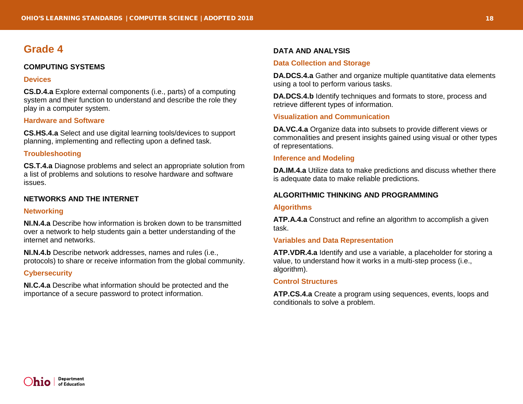# <span id="page-17-1"></span><span id="page-17-0"></span>**COMPUTING SYSTEMS**

#### **Devices**

**CS.D.4.a** Explore external components (i.e., parts) of a computing system and their function to understand and describe the role they play in a computer system.

# **Hardware and Software**

**CS.HS.4.a** Select and use digital learning tools/devices to support planning, implementing and reflecting upon a defined task.

# **Troubleshooting**

**CS.T.4.a** Diagnose problems and select an appropriate solution from a list of problems and solutions to resolve hardware and software issues.

# <span id="page-17-2"></span>**NETWORKS AND THE INTERNET**

# **Networking**

**NI.N.4.a** Describe how information is broken down to be transmitted over a network to help students gain a better understanding of the internet and networks.

**NI.N.4.b** Describe network addresses, names and rules (i.e., protocols) to share or receive information from the global community.

# **Cybersecurity**

**NI.C.4.a** Describe what information should be protected and the importance of a secure password to protect information.

# <span id="page-17-3"></span>**DATA AND ANALYSIS**

# **Data Collection and Storage**

**DA.DCS.4.a** Gather and organize multiple quantitative data elements using a tool to perform various tasks.

**DA.DCS.4.b** Identify techniques and formats to store, process and retrieve different types of information.

# **Visualization and Communication**

**DA.VC.4.a** Organize data into subsets to provide different views or commonalities and present insights gained using visual or other types of representations.

## **Inference and Modeling**

**DA.IM.4.a** Utilize data to make predictions and discuss whether there is adequate data to make reliable predictions.

# <span id="page-17-4"></span>**ALGORITHMIC THINKING AND PROGRAMMING**

#### **Algorithms**

**ATP.A.4.a** Construct and refine an algorithm to accomplish a given task.

# **Variables and Data Representation**

**ATP.VDR.4.a** Identify and use a variable, a placeholder for storing a value, to understand how it works in a multi-step process (i.e., algorithm).

# **Control Structures**

**ATP.CS.4.a** Create a program using sequences, events, loops and conditionals to solve a problem.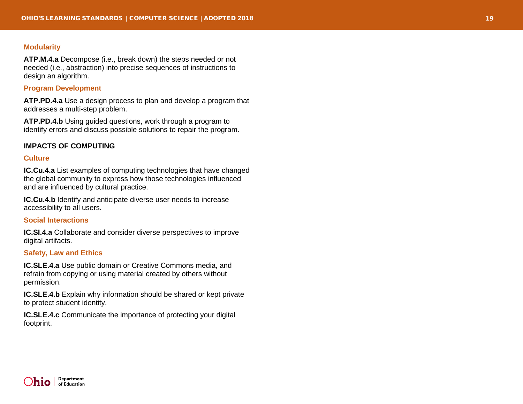# **Modularity**

**ATP.M.4.a** Decompose (i.e., break down) the steps needed or not needed (i.e., abstraction) into precise sequences of instructions to design an algorithm.

#### **Program Development**

**ATP.PD.4.a** Use a design process to plan and develop a program that addresses a multi -step problem.

**ATP.PD.4.b** Using guided questions, work through a program to identify errors and discuss possible solutions to repair the program.

#### <span id="page-18-0"></span>**IMPACTS OF COMPUTING**

#### **Culture**

**IC.Cu.4.a** List examples of computing technologies that have changed the global community to express how those technologies influenced and are influenced by cultural practice.

**IC.Cu.4.b** Identify and anticipate diverse user needs to increase accessibility to all users.

## **Social Interactions**

**IC.SI.4.a** Collaborate and consider diverse perspectives to improve digital artifacts.

#### **Safety, Law and Ethics**

**IC.SLE.4.a** Use public domain or Creative Commons media, and refrain from copying or using material created by others without permission.

**IC.SLE.4.b** Explain why information should be shared or kept private to protect student identity.

**IC.SLE.4.c** Communicate the importance of protecting your digital footprint.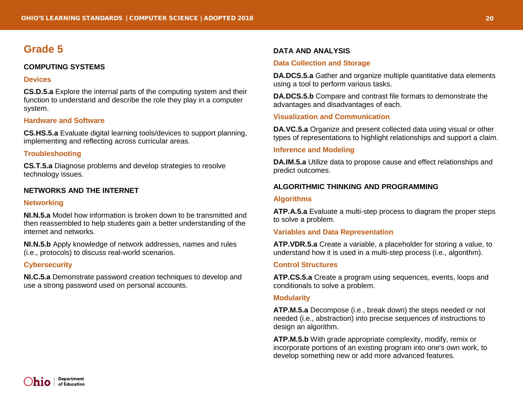# <span id="page-19-1"></span><span id="page-19-0"></span>**COMPUTING SYSTEMS**

#### **Devices**

**CS.D.5.a** Explore the internal parts of the computing system and their function to understand and describe the role they play in a computer system.

# **Hardware and Software**

**CS.HS.5.a** Evaluate digital learning tools/devices to support planning, implementing and reflecting across curricular areas.

# **Troubleshooting**

**CS.T.5.a** Diagnose problems and develop strategies to resolve technology issues.

# <span id="page-19-2"></span>**NETWORKS AND THE INTERNET**

#### **Networking**

**NI.N.5.a** Model how information is broken down to be transmitted and then reassembled to help students gain a better understanding of the internet and networks.

**NI.N.5.b** Apply knowledge of network addresses, names and rules (i.e., protocols) to discuss real-world scenarios.

# **Cybersecurity**

**NI.C.5.a** Demonstrate password creation techniques to develop and use a strong password used on personal accounts.

# <span id="page-19-3"></span>**DATA AND ANALYSIS**

#### **Data Collection and Storage**

**DA.DCS.5.a** Gather and organize multiple quantitative data elements using a tool to perform various tasks.

**DA.DCS.5.b** Compare and contrast file formats to demonstrate the advantages and disadvantages of each.

# **Visualization and Communication**

**DA.VC.5.a** Organize and present collected data using visual or other types of representations to highlight relationships and support a claim.

# **Inference and Modeling**

**DA.IM.5.a** Utilize data to propose cause and effect relationships and predict outcomes.

# <span id="page-19-4"></span>**ALGORITHMIC THINKING AND PROGRAMMING**

## **Algorithms**

**ATP.A.5.a** Evaluate a multi-step process to diagram the proper steps to solve a problem.

#### **Variables and Data Representation**

**ATP.VDR.5.a** Create a variable, a placeholder for storing a value, to understand how it is used in a multi-step process (i.e., algorithm).

#### **Control Structures**

**ATP.CS.5.a** Create a program using sequences, events, loops and conditionals to solve a problem.

#### **Modularity**

**ATP.M.5.a** Decompose (i.e., break down) the steps needed or not needed (i.e., abstraction) into precise sequences of instructions to design an algorithm.

**ATP.M.5.b** With grade appropriate complexity, modify, remix or incorporate portions of an existing program into one's own work, to develop something new or add more advanced features.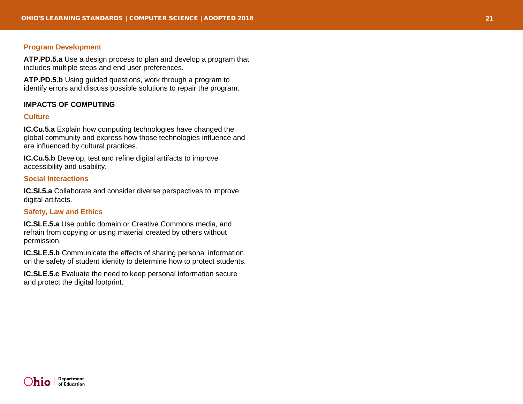# **Program Development**

**ATP.PD.5.a** Use a design process to plan and develop a program that includes multiple steps and end user preferences.

**ATP.PD.5.b** Using guided questions, work through a program to identify errors and discuss possible solutions to repair the program.

#### <span id="page-20-0"></span>**IMPACTS OF COMPUTING**

## **Culture**

**IC.Cu.5.a** Explain how computing technologies have changed the global community and express how those technologies influence and are influenced by cultural practices.

**IC.Cu.5.b** Develop, test and refine digital artifacts to improve accessibility and usability.

#### **Social Interactions**

**IC.SI.5.a** Collaborate and consider diverse perspectives to improve digital artifacts.

# **Safety, Law and Ethics**

**IC.SLE.5.a** Use public domain or Creative Commons media, and refrain from copying or using material created by others without permission.

**IC.SLE.5.b** Communicate the effects of sharing personal information on the safety of student identity to determine how to protect students.

**IC.SLE.5.c** Evaluate the need to keep personal information secure and protect the digital footprint.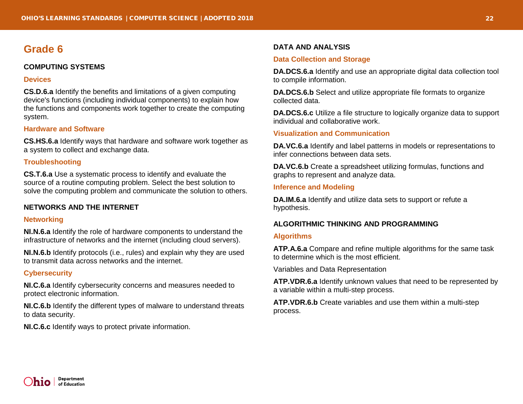# <span id="page-21-1"></span><span id="page-21-0"></span>**COMPUTING SYSTEMS**

#### **Devices**

**CS.D.6.a** Identify the benefits and limitations of a given computing device's functions (including individual components) to explain how the functions and components work together to create the computing system.

# **Hardware and Software**

**CS.HS.6.a** Identify ways that hardware and software work together as a system to collect and exchange data.

# **Troubleshooting**

**CS.T.6.a** Use a systematic process to identify and evaluate the source of a routine computing problem. Select the best solution to solve the computing problem and communicate the solution to others.

# <span id="page-21-2"></span>**NETWORKS AND THE INTERNET**

#### **Networking**

**NI.N.6.a** Identify the role of hardware components to understand the infrastructure of networks and the internet (including cloud servers).

**NI.N.6.b** Identify protocols (i.e., rules) and explain why they are used to transmit data across networks and the internet.

# **Cybersecurity**

**NI.C.6.a** Identify cybersecurity concerns and measures needed to protect electronic information.

**NI.C.6.b** Identify the different types of malware to understand threats to data security.

**NI.C.6.c** Identify ways to protect private information.

# <span id="page-21-3"></span>**DATA AND ANALYSIS**

# **Data Collection and Storage**

**DA.DCS.6.a** Identify and use an appropriate digital data collection tool to compile information.

**DA.DCS.6.b** Select and utilize appropriate file formats to organize collected data.

**DA.DCS.6.c** Utilize a file structure to logically organize data to support individual and collaborative work.

# **Visualization and Communication**

**DA.VC.6.a** Identify and label patterns in models or representations to infer connections between data sets.

**DA.VC.6.b** Create a spreadsheet utilizing formulas, functions and graphs to represent and analyze data.

# **Inference and Modeling**

**DA.IM.6.a** Identify and utilize data sets to support or refute a hypothesis.

# <span id="page-21-4"></span>**ALGORITHMIC THINKING AND PROGRAMMING**

# **Algorithms**

**ATP.A.6.a** Compare and refine multiple algorithms for the same task to determine which is the most efficient.

Variables and Data Representation

**ATP.VDR.6.a** Identify unknown values that need to be represented by a variable within a multi-step process.

**ATP.VDR.6.b** Create variables and use them within a multi-step process.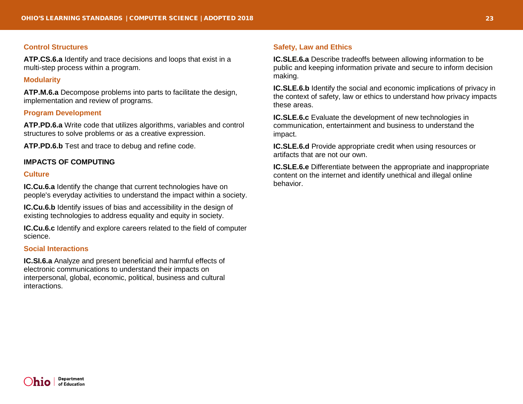#### **Control Structures**

**ATP.CS.6.a** Identify and trace decisions and loops that exist in a multi-step process within a program.

#### **Modularity**

**ATP.M.6.a** Decompose problems into parts to facilitate the design, implementation and review of programs.

## **Program Development**

**ATP.PD.6.a** Write code that utilizes algorithms, variables and control structures to solve problems or as a creative expression.

**ATP.PD.6.b** Test and trace to debug and refine code.

#### <span id="page-22-0"></span>**IMPACTS OF COMPUTING**

#### **Culture**

**IC.Cu.6.a** Identify the change that current technologies have on people's everyday activities to understand the impact within a society.

**IC.Cu.6.b** Identify issues of bias and accessibility in the design of existing technologies to address equality and equity in society.

**IC.Cu.6.c** Identify and explore careers related to the field of computer science.

#### **Social Interactions**

**IC.SI.6.a** Analyze and present beneficial and harmful effects of electronic communications to understand their impacts on interpersonal, global, economic, political, business and cultural interactions.

#### **Safety, Law and Ethics**

**IC.SLE.6.a** Describe tradeoffs between allowing information to be public and keeping information private and secure to inform decision making.

**IC.SLE.6.b** Identify the social and economic implications of privacy in the context of safety, law or ethics to understand how privacy impacts these areas.

**IC.SLE.6.c** Evaluate the development of new technologies in communication, entertainment and business to understand the impact.

**IC.SLE.6.d** Provide appropriate credit when using resources or artifacts that are not our own.

**IC.SLE.6.e** Differentiate between the appropriate and inappropriate content on the internet and identify unethical and illegal online behavior.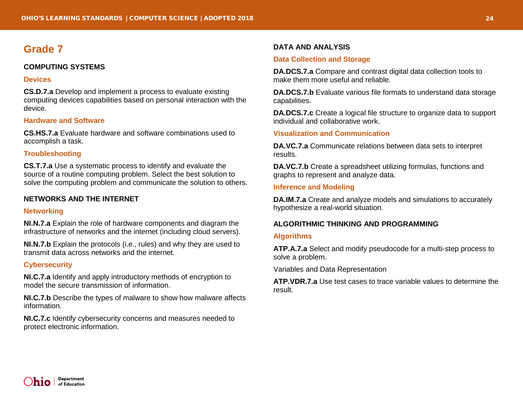# <span id="page-23-1"></span><span id="page-23-0"></span>**COMPUTING SYSTEMS**

#### **Devices**

**CS.D.7.a** Develop and implement a process to evaluate existing computing devices capabilities based on personal interaction with the device.

# **Hardware and Software**

**CS.HS.7.a** Evaluate hardware and software combinations used to accomplish a task.

# **Troubleshooting**

**CS.T.7.a** Use a systematic process to identify and evaluate the source of a routine computing problem. Select the best solution to solve the computing problem and communicate the solution to others.

# <span id="page-23-2"></span>**NETWORKS AND THE INTERNET**

# **Networking**

**NI.N.7.a** Explain the role of hardware components and diagram the infrastructure of networks and the internet (including cloud servers).

**NI.N.7.b** Explain the protocols (i.e., rules) and why they are used to transmit data across networks and the internet.

# **Cybersecurity**

**NI.C.7.a** Identify and apply introductory methods of encryption to model the secure transmission of information.

**NI.C.7.b** Describe the types of malware to show how malware affects information.

**NI.C.7.c** Identify cybersecurity concerns and measures needed to protect electronic information.

# <span id="page-23-3"></span>**DATA AND ANALYSIS**

# **Data Collection and Storage**

**DA.DCS.7.a** Compare and contrast digital data collection tools to make them more useful and reliable.

**DA.DCS.7.b** Evaluate various file formats to understand data storage capabilities.

**DA.DCS.7.c** Create a logical file structure to organize data to support individual and collaborative work.

# **Visualization and Communication**

**DA.VC.7.a** Communicate relations between data sets to interpret results.

**DA.VC.7.b** Create a spreadsheet utilizing formulas, functions and graphs to represent and analyze data.

# **Inference and Modeling**

**DA.IM.7.a** Create and analyze models and simulations to accurately hypothesize a real-world situation.

# <span id="page-23-4"></span>**ALGORITHMIC THINKING AND PROGRAMMING**

# **Algorithms**

**ATP.A.7.a** Select and modify pseudocode for a multi-step process to solve a problem.

Variables and Data Representation

**ATP.VDR.7.a** Use test cases to trace variable values to determine the result.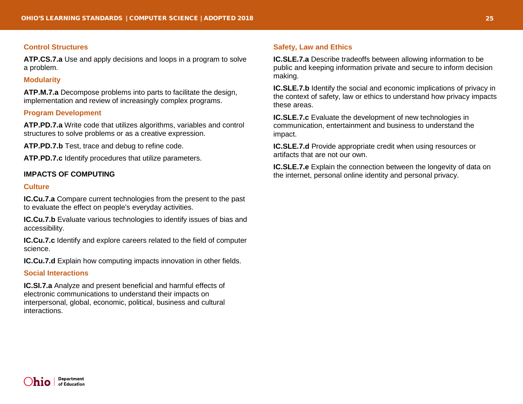#### **Control Structures**

**ATP.CS.7.a** Use and apply decisions and loops in a program to solve a problem.

#### **Modularity**

**ATP.M.7.a** Decompose problems into parts to facilitate the design, implementation and review of increasingly complex programs.

## **Program Development**

**ATP.PD.7.a** Write code that utilizes algorithms, variables and control structures to solve problems or as a creative expression.

**ATP.PD.7.b** Test, trace and debug to refine code.

**ATP.PD.7.c** Identify procedures that utilize parameters.

## <span id="page-24-0"></span>**IMPACTS OF COMPUTING**

#### **Culture**

**IC.Cu.7.a** Compare current technologies from the present to the past to evaluate the effect on people's everyday activities.

**IC.Cu.7.b** Evaluate various technologies to identify issues of bias and accessibility.

**IC.Cu.7.c** Identify and explore careers related to the field of computer science.

**IC.Cu.7.d** Explain how computing impacts innovation in other fields.

#### **Social Interactions**

**IC.SI.7.a** Analyze and present beneficial and harmful effects of electronic communications to understand their impacts on interpersonal, global, economic, political, business and cultural interactions.

#### **Safety, Law and Ethics**

**IC.SLE.7.a** Describe tradeoffs between allowing information to be public and keeping information private and secure to inform decision making.

**IC.SLE.7.b** Identify the social and economic implications of privacy in the context of safety, law or ethics to understand how privacy impacts these areas.

**IC.SLE.7.c** Evaluate the development of new technologies in communication, entertainment and business to understand the impact.

**IC.SLE.7.d** Provide appropriate credit when using resources or artifacts that are not our own.

**IC.SLE.7.e** Explain the connection between the longevity of data on the internet, personal online identity and personal privacy.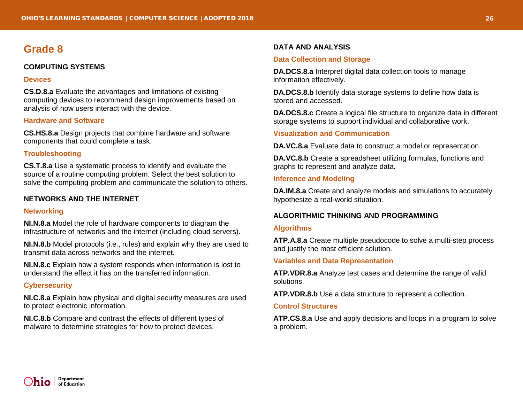# <span id="page-25-1"></span><span id="page-25-0"></span>**COMPUTING SYSTEMS**

#### **Devices**

**CS.D.8.a** Evaluate the advantages and limitations of existing computing devices to recommend design improvements based on analysis of how users interact with the device.

# **Hardware and Software**

**CS.HS.8.a** Design projects that combine hardware and software components that could complete a task.

# **Troubleshooting**

**CS.T.8.a** Use a systematic process to identify and evaluate the source of a routine computing problem. Select the best solution to solve the computing problem and communicate the solution to others.

# <span id="page-25-2"></span>**NETWORKS AND THE INTERNET**

#### **Networking**

**NI.N.8.a** Model the role of hardware components to diagram the infrastructure of networks and the internet (including cloud servers).

**NI.N.8.b** Model protocols (i.e., rules) and explain why they are used to transmit data across networks and the internet.

**NI.N.8.c** Explain how a system responds when information is lost to understand the effect it has on the transferred information.

# **Cybersecurity**

**NI.C.8.a** Explain how physical and digital security measures are used to protect electronic information.

**NI.C.8.b** Compare and contrast the effects of different types of malware to determine strategies for how to protect devices.

# <span id="page-25-3"></span>**DATA AND ANALYSIS**

# **Data Collection and Storage**

**DA.DCS.8.a** Interpret digital data collection tools to manage information effectively.

**DA.DCS.8.b** Identify data storage systems to define how data is stored and accessed.

**DA.DCS.8.c** Create a logical file structure to organize data in different storage systems to support individual and collaborative work.

# **Visualization and Communication**

**DA.VC.8.a** Evaluate data to construct a model or representation.

**DA.VC.8.b** Create a spreadsheet utilizing formulas, functions and graphs to represent and analyze data.

# **Inference and Modeling**

**DA.IM.8.a** Create and analyze models and simulations to accurately hypothesize a real-world situation.

# <span id="page-25-4"></span>**ALGORITHMIC THINKING AND PROGRAMMING**

#### **Algorithms**

**ATP.A.8.a** Create multiple pseudocode to solve a multi-step process and justify the most efficient solution.

#### **Variables and Data Representation**

**ATP.VDR.8.a** Analyze test cases and determine the range of valid solutions.

**ATP.VDR.8.b** Use a data structure to represent a collection.

#### **Control Structures**

**ATP.CS.8.a** Use and apply decisions and loops in a program to solve a problem.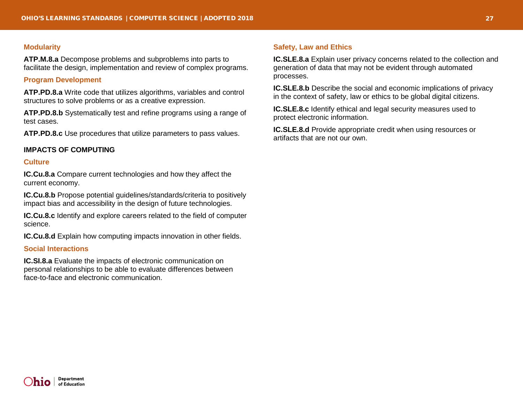#### **Modularity**

**ATP.M.8.a** Decompose problems and subproblems into parts to facilitate the design, implementation and review of complex programs.

#### **Program Development**

**ATP.PD.8.a** Write code that utilizes algorithms, variables and control structures to solve problems or as a creative expression.

**ATP.PD.8.b** Systematically test and refine programs using a range of test cases.

**ATP.PD.8.c** Use procedures that utilize parameters to pass values.

#### <span id="page-26-0"></span>**IMPACTS OF COMPUTING**

#### **Culture**

**IC.Cu.8.a** Compare current technologies and how they affect the current economy.

**IC.Cu.8.b** Propose potential guidelines/standards/criteria to positively impact bias and accessibility in the design of future technologies.

**IC.Cu.8.c** Identify and explore careers related to the field of computer science.

**IC.Cu.8.d** Explain how computing impacts innovation in other fields.

#### **Social Interactions**

**IC.SI.8.a** Evaluate the impacts of electronic communication on personal relationships to be able to evaluate differences between face-to-face and electronic communication.

#### **Safety, Law and Ethics**

**IC.SLE.8.a** Explain user privacy concerns related to the collection and generation of data that may not be evident through automated processes.

**IC.SLE.8.b** Describe the social and economic implications of privacy in the context of safety, law or ethics to be global digital citizens.

**IC.SLE.8.c** Identify ethical and legal security measures used to protect electronic information.

**IC.SLE.8.d** Provide appropriate credit when using resources or artifacts that are not our own.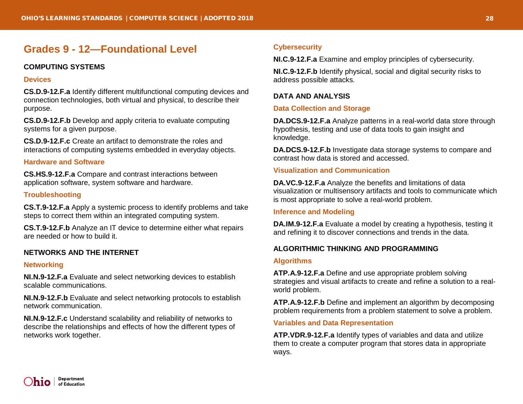# <span id="page-27-0"></span>**Grades 9 - 12—Foundational Level**

# <span id="page-27-1"></span>**COMPUTING SYSTEMS**

#### **Devices**

**CS.D.9-12.F.a** Identify different multifunctional computing devices and connection technologies, both virtual and physical, to describe their purpose.

**CS.D.9-12.F.b** Develop and apply criteria to evaluate computing systems for a given purpose.

**CS.D.9-12.F.c** Create an artifact to demonstrate the roles and interactions of computing systems embedded in everyday objects.

## **Hardware and Software**

**CS.HS.9-12.F.a** Compare and contrast interactions between application software, system software and hardware.

# **Troubleshooting**

**CS.T.9-12.F.a** Apply a systemic process to identify problems and take steps to correct them within an integrated computing system.

**CS.T.9-12.F.b** Analyze an IT device to determine either what repairs are needed or how to build it.

# <span id="page-27-2"></span>**NETWORKS AND THE INTERNET**

#### **Networking**

**NI.N.9-12.F.a** Evaluate and select networking devices to establish scalable communications.

**NI.N.9-12.F.b** Evaluate and select networking protocols to establish network communication.

**NI.N.9-12.F.c** Understand scalability and reliability of networks to describe the relationships and effects of how the different types of networks work together.

# **Cybersecurity**

**NI.C.9-12.F.a** Examine and employ principles of cybersecurity.

**NI.C.9-12.F.b** Identify physical, social and digital security risks to address possible attacks.

# <span id="page-27-3"></span>**DATA AND ANALYSIS**

#### **Data Collection and Storage**

**DA.DCS.9-12.F.a** Analyze patterns in a real-world data store through hypothesis, testing and use of data tools to gain insight and knowledge.

**DA.DCS.9-12.F.b** Investigate data storage systems to compare and contrast how data is stored and accessed.

# **Visualization and Communication**

**DA.VC.9-12.F.a** Analyze the benefits and limitations of data visualization or multisensory artifacts and tools to communicate which is most appropriate to solve a real-world problem.

#### **Inference and Modeling**

**DA.IM.9-12.F.a** Evaluate a model by creating a hypothesis, testing it and refining it to discover connections and trends in the data.

# <span id="page-27-4"></span>**ALGORITHMIC THINKING AND PROGRAMMING**

#### **Algorithms**

**ATP.A.9-12.F.a** Define and use appropriate problem solving strategies and visual artifacts to create and refine a solution to a realworld problem.

**ATP.A.9-12.F.b** Define and implement an algorithm by decomposing problem requirements from a problem statement to solve a problem.

#### **Variables and Data Representation**

**ATP.VDR.9-12.F.a** Identify types of variables and data and utilize them to create a computer program that stores data in appropriate ways.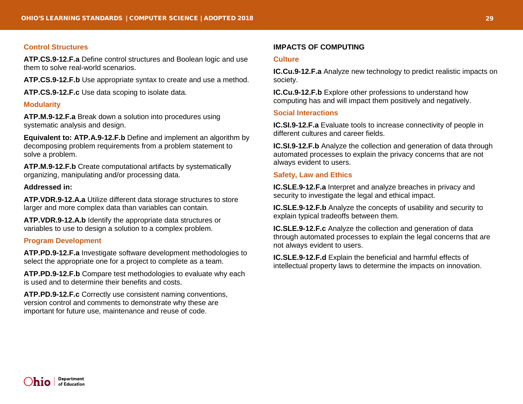#### **Control Structures**

**ATP.CS.9-12.F.a** Define control structures and Boolean logic and use them to solve real-world scenarios.

**ATP.CS.9-12.F.b** Use appropriate syntax to create and use a method.

**ATP.CS.9-12.F.c** Use data scoping to isolate data.

#### **Modularity**

**ATP.M.9-12.F.a** Break down a solution into procedures using systematic analysis and design.

**Equivalent to: ATP.A.9-12.F.b** Define and implement an algorithm by decomposing problem requirements from a problem statement to solve a problem.

**ATP.M.9-12.F.b** Create computational artifacts by systematically organizing, manipulating and/or processing data.

## **Addressed in:**

**ATP.VDR.9-12.A.a** Utilize different data storage structures to store larger and more complex data than variables can contain.

**ATP.VDR.9-12.A.b** Identify the appropriate data structures or variables to use to design a solution to a complex problem.

#### **Program Development**

**ATP.PD.9-12.F.a** Investigate software development methodologies to select the appropriate one for a project to complete as a team.

**ATP.PD.9-12.F.b** Compare test methodologies to evaluate why each is used and to determine their benefits and costs.

**ATP.PD.9-12.F.c** Correctly use consistent naming conventions, version control and comments to demonstrate why these are important for future use, maintenance and reuse of code.

#### **IMPACTS OF COMPUTING**

#### **Culture**

**IC.Cu.9-12.F.a** Analyze new technology to predict realistic impacts on society.

**IC.Cu.9-12.F.b** Explore other professions to understand how computing has and will impact them positively and negatively.

#### **Social Interactions**

**IC.SI.9-12.F.a** Evaluate tools to increase connectivity of people in different cultures and career fields.

**IC.SI.9-12.F.b** Analyze the collection and generation of data through automated processes to explain the privacy concerns that are not always evident to users.

#### **Safety, Law and Ethics**

**IC.SLE.9-12.F.a** Interpret and analyze breaches in privacy and security to investigate the legal and ethical impact.

**IC.SLE.9-12.F.b** Analyze the concepts of usability and security to explain typical tradeoffs between them.

**IC.SLE.9-12.F.c** Analyze the collection and generation of data through automated processes to explain the legal concerns that are not always evident to users.

**IC.SLE.9-12.F.d** Explain the beneficial and harmful effects of intellectual property laws to determine the impacts on innovation.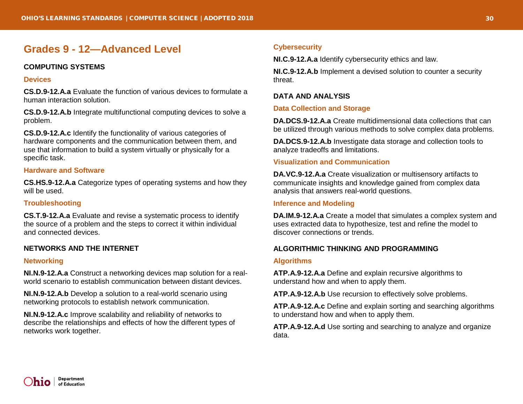# <span id="page-29-0"></span>**Grades 9 - 12—Advanced Level**

# <span id="page-29-1"></span>**COMPUTING SYSTEMS**

#### **Devices**

**CS.D.9-12.A.a** Evaluate the function of various devices to formulate a human interaction solution.

**CS.D.9-12.A.b** Integrate multifunctional computing devices to solve a problem.

**CS.D.9-12.A.c** Identify the functionality of various categories of hardware components and the communication between them, and use that information to build a system virtually or physically for a specific task.

# **Hardware and Software**

**CS.HS.9-12.A.a** Categorize types of operating systems and how they will be used.

# **Troubleshooting**

**CS.T.9-12.A.a** Evaluate and revise a systematic process to identify the source of a problem and the steps to correct it within individual and connected devices.

# <span id="page-29-2"></span>**NETWORKS AND THE INTERNET**

# **Networking**

**NI.N.9-12.A.a** Construct a networking devices map solution for a realworld scenario to establish communication between distant devices.

**NI.N.9-12.A.b** Develop a solution to a real-world scenario using networking protocols to establish network communication.

**NI.N.9-12.A.c** Improve scalability and reliability of networks to describe the relationships and effects of how the different types of networks work together.

# **Cybersecurity**

**NI.C.9-12.A.a** Identify cybersecurity ethics and law.

**NI.C.9-12.A.b** Implement a devised solution to counter a security threat.

# <span id="page-29-3"></span>**DATA AND ANALYSIS**

# **Data Collection and Storage**

**DA.DCS.9-12.A.a** Create multidimensional data collections that can be utilized through various methods to solve complex data problems.

**DA.DCS.9-12.A.b** Investigate data storage and collection tools to analyze tradeoffs and limitations.

# **Visualization and Communication**

**DA.VC.9-12.A.a** Create visualization or multisensory artifacts to communicate insights and knowledge gained from complex data analysis that answers real-world questions.

# **Inference and Modeling**

**DA.IM.9-12.A.a** Create a model that simulates a complex system and uses extracted data to hypothesize, test and refine the model to discover connections or trends.

# <span id="page-29-4"></span>**ALGORITHMIC THINKING AND PROGRAMMING**

# **Algorithms**

**ATP.A.9-12.A.a** Define and explain recursive algorithms to understand how and when to apply them.

**ATP.A.9-12.A.b** Use recursion to effectively solve problems.

**ATP.A.9-12.A.c** Define and explain sorting and searching algorithms to understand how and when to apply them.

**ATP.A.9-12.A.d** Use sorting and searching to analyze and organize data.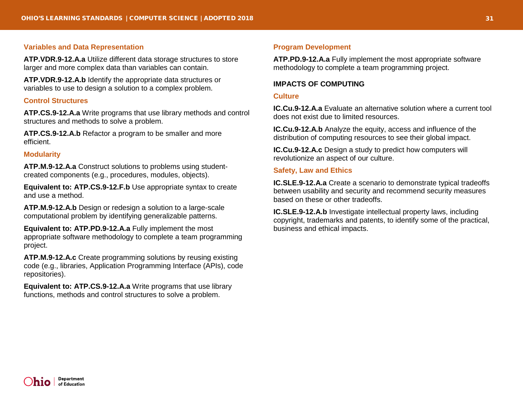#### **Variables and Data Representation**

**ATP.VDR.9-12.A.a** Utilize different data storage structures to store larger and more complex data than variables can contain.

**ATP.VDR.9-12.A.b** Identify the appropriate data structures or variables to use to design a solution to a complex problem.

#### **Control Structures**

**ATP.CS.9-12.A.a** Write programs that use library methods and control structures and methods to solve a problem.

**ATP.CS.9-12.A.b** Refactor a program to be smaller and more efficient.

#### **Modularity**

**ATP.M.9-12.A.a** Construct solutions to problems using studentcreated components (e.g., procedures, modules, objects).

**Equivalent to: ATP.CS.9-12.F.b** Use appropriate syntax to create and use a method.

**ATP.M.9-12.A.b** Design or redesign a solution to a large-scale computational problem by identifying generalizable patterns.

**Equivalent to: ATP.PD.9-12.A.a** Fully implement the most appropriate software methodology to complete a team programming project.

**ATP.M.9-12.A.c** Create programming solutions by reusing existing code (e.g., libraries, Application Programming Interface (APIs), code repositories).

**Equivalent to: ATP.CS.9-12.A.a** Write programs that use library functions, methods and control structures to solve a problem.

#### **Program Development**

**ATP.PD.9-12.A.a** Fully implement the most appropriate software methodology to complete a team programming project.

#### <span id="page-30-0"></span>**IMPACTS OF COMPUTING**

#### **Culture**

**IC.Cu.9-12.A.a** Evaluate an alternative solution where a current tool does not exist due to limited resources.

**IC.Cu.9-12.A.b** Analyze the equity, access and influence of the distribution of computing resources to see their global impact.

**IC.Cu.9-12.A.c** Design a study to predict how computers will revolutionize an aspect of our culture.

#### **Safety, Law and Ethics**

**IC.SLE.9-12.A.a** Create a scenario to demonstrate typical tradeoffs between usability and security and recommend security measures based on these or other tradeoffs.

**IC.SLE.9-12.A.b** Investigate intellectual property laws, including copyright, trademarks and patents, to identify some of the practical, business and ethical impacts.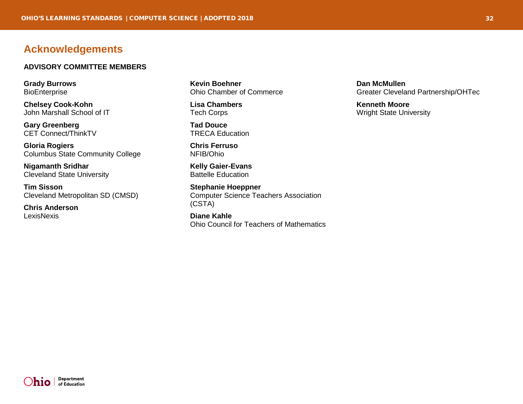# <span id="page-31-0"></span>**Acknowledgements**

#### **ADVISORY COMMITTEE MEMBERS**

**Grady Burrows BioEnterprise** 

**Chelsey Cook-Kohn** John Marshall School of IT

**Gary Greenberg** CET Connect/ThinkTV

**Gloria Rogiers** Columbus State Community College

**Nigamanth Sridhar** Cleveland State University

**Tim Sisson** Cleveland Metropolitan SD (CMSD)

**Chris Anderson** LexisNexis

**Kevin Boehner** Ohio Chamber of Commerce

**Lisa Chambers** Tech Corps

**Tad Douce** TRECA Education

**Chris Ferruso** NFIB/Ohio

**Kelly Gaier-Evans** Battelle Education

**Stephanie Hoeppner** Computer Science Teachers Association (CSTA)

**Diane Kahle** Ohio Council for Teachers of Mathematics

**Dan McMullen** Greater Cleveland Partnership/OHTec

**Kenneth Moore** Wright State University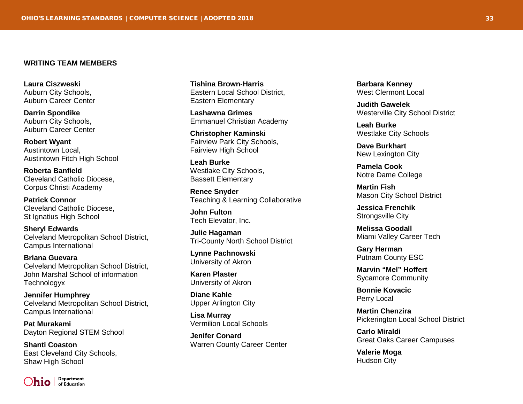#### **WRITING TEAM MEMBERS**

**Laura Ciszweski** Auburn City Schools, Auburn Career Center

**Darrin Spondike** Auburn City Schools, Auburn Career Center

**Robert Wyant** Austintown Local, Austintown Fitch High School

**Roberta Banfield** Cleveland Catholic Diocese, Corpus Christi Academy

**Patrick Connor** Cleveland Catholic Diocese, St Ignatius High School

**Sheryl Edwards** Celveland Metropolitan School District, Campus International

**Briana Guevara** Celveland Metropolitan School District, John Marshal School of information **Technologyx** 

**Jennifer Humphrey** Celveland Metropolitan School District, Campus International

**Pat Murakami** Dayton Regional STEM School

**Shanti Coaston** East Cleveland City Schools, Shaw High School



**Tishina Brown**-**Harris** Eastern Local School District, Eastern Elementary

**Lashawna Grimes** Emmanuel Christian Academy

**Christopher Kaminski** Fairview Park City Schools, Fairview High School

**Leah Burke** Westlake City Schools, Bassett Elementary

**Renee Snyder** Teaching & Learning Collaborative

**John Fulton** Tech Elevator, Inc.

**Julie Hagaman** Tri-County North School District

**Lynne Pachnowski** University of Akron

**Karen Plaster** University of Akron

**Diane Kahle** Upper Arlington City

**Lisa Murray** Vermilion Local Schools

**Jenifer Conard** Warren County Career Center

**Barbara Kenney** West Clermont Local

**Judith Gawelek** Westerville City School District

**Leah Burke** Westlake City Schools

**Dave Burkhart** New Lexington City

**Pamela Cook** Notre Dame College

**Martin Fish** Mason City School District

**Jessica Frenchik** Strongsville City

**Melissa Goodall** Miami Valley Career Tech

**Gary Herman** Putnam County ESC

**Marvin "Mel" Hoffert** Sycamore Community

**Bonnie Kovacic** Perry Local

**Martin Chenzira** Pickerington Local School District

**Carlo Miraldi** Great Oaks Career Campuses

**Valerie Moga** Hudson City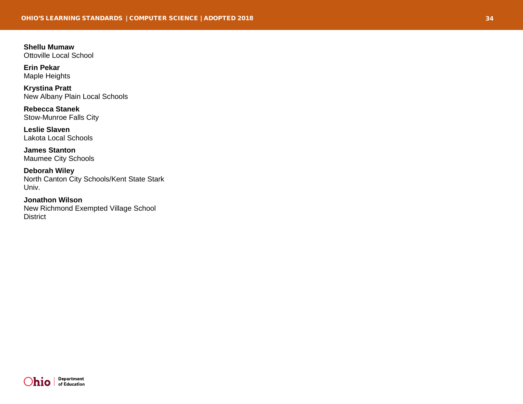**Shellu Mumaw** Ottoville Local School

**Erin Pekar** Maple Heights

**Krystina Pratt** New Albany Plain Local Schools

**Rebecca Stanek** Stow -Munroe Falls City

**Leslie Slaven** Lakota Local Schools

**James Stanton** Maumee City Schools

**Deborah Wiley** North Canton City Schools/Kent State Stark Univ.

**Jonathon Wilson** New Richmond Exempted Village School **District**